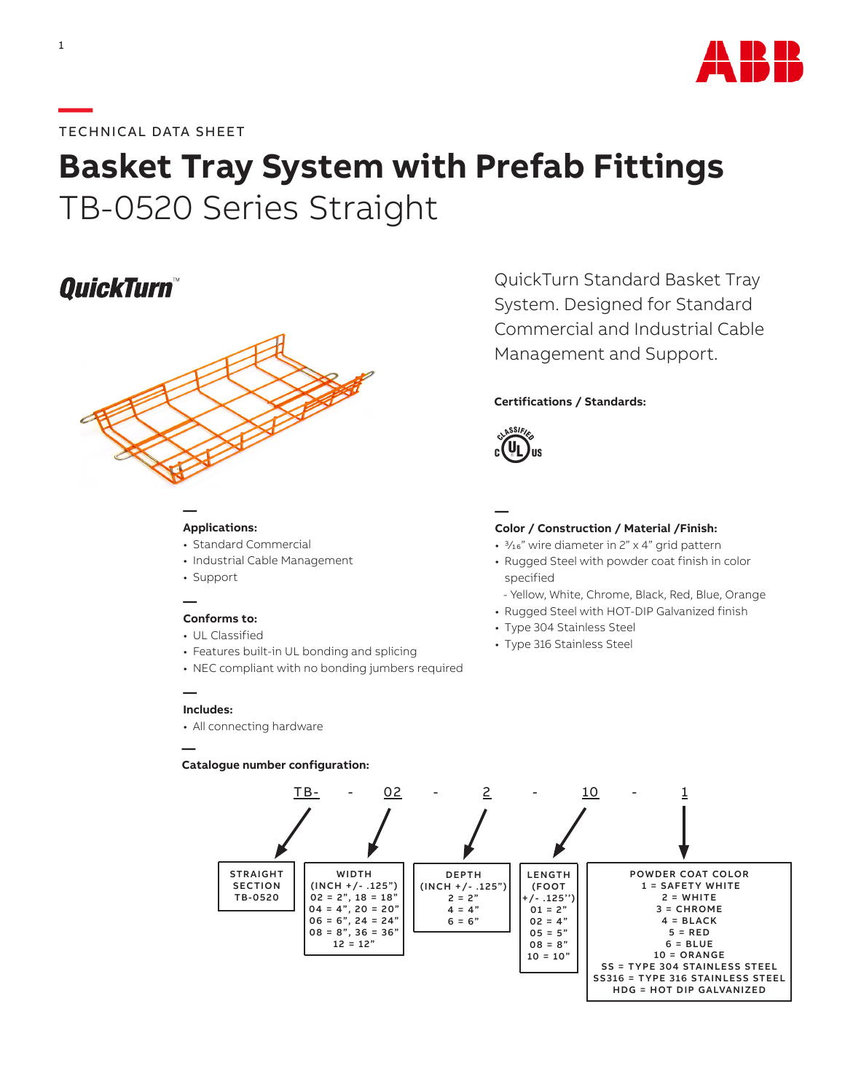

### **—**TECHNICAL DATA SHEET

# **Basket Tray System with Prefab Fittings** TB-0520 Series Straight

# **QuickTurn**



#### **Applications:**

**—**

- Standard Commercial
- Industrial Cable Management
- Support

#### **— Conforms to:**

- UL Classified
- Features built-in UL bonding and splicing
- NEC compliant with no bonding jumbers required

#### **Includes:**

**—**

**—**

• All connecting hardware

#### **Catalogue number configuration:**

QuickTurn Standard Basket Tray System. Designed for Standard Commercial and Industrial Cable Management and Support.

#### **Certifications / Standards:**



## **—**

#### **Color / Construction / Material /Finish:**

- 3/16" wire diameter in 2" x 4" grid pattern
- Rugged Steel with powder coat finish in color specified
- Yellow, White, Chrome, Black, Red, Blue, Orange
- Rugged Steel with HOT-DIP Galvanized finish
- Type 304 Stainless Steel
- Type 316 Stainless Steel